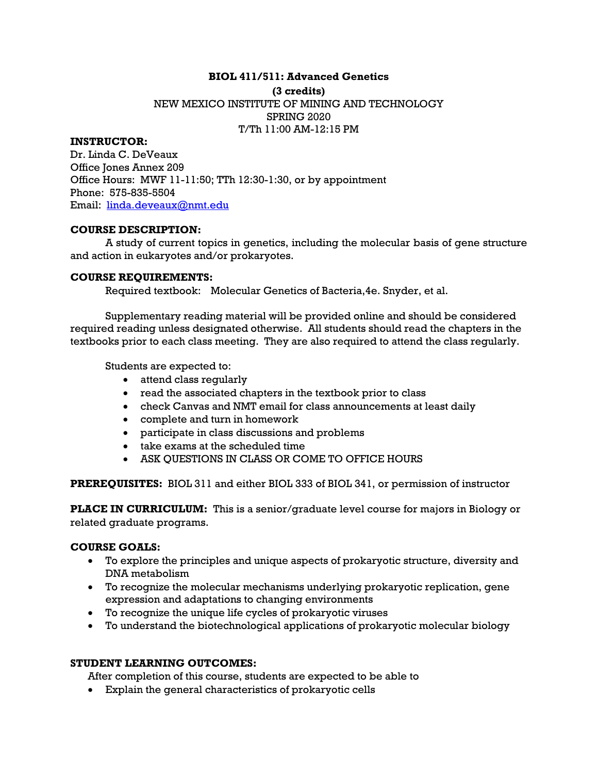# **BIOL 411/511: Advanced Genetics**

# **(3 credits)**  NEW MEXICO INSTITUTE OF MINING AND TECHNOLOGY SPRING 2020 T/Th 11:00 AM-12:15 PM

# **INSTRUCTOR:**

Dr. Linda C. DeVeaux Office Jones Annex 209 Office Hours: MWF 11-11:50; TTh 12:30-1:30, or by appointment Phone: 575-835-5504 Email: linda.deveaux@nmt.edu

# **COURSE DESCRIPTION:**

A study of current topics in genetics, including the molecular basis of gene structure and action in eukaryotes and/or prokaryotes.

# **COURSE REQUIREMENTS:**

Required textbook: Molecular Genetics of Bacteria,4e. Snyder, et al.

Supplementary reading material will be provided online and should be considered required reading unless designated otherwise. All students should read the chapters in the textbooks prior to each class meeting. They are also required to attend the class regularly.

Students are expected to:

- attend class regularly
- read the associated chapters in the textbook prior to class
- check Canvas and NMT email for class announcements at least daily
- complete and turn in homework
- participate in class discussions and problems
- take exams at the scheduled time
- ASK QUESTIONS IN CLASS OR COME TO OFFICE HOURS

**PREREQUISITES:** BIOL 311 and either BIOL 333 of BIOL 341, or permission of instructor

**PLACE IN CURRICULUM:** This is a senior/graduate level course for majors in Biology or related graduate programs.

# **COURSE GOALS:**

- To explore the principles and unique aspects of prokaryotic structure, diversity and DNA metabolism
- To recognize the molecular mechanisms underlying prokaryotic replication, gene expression and adaptations to changing environments
- To recognize the unique life cycles of prokaryotic viruses
- To understand the biotechnological applications of prokaryotic molecular biology

# **STUDENT LEARNING OUTCOMES:**

After completion of this course, students are expected to be able to

Explain the general characteristics of prokaryotic cells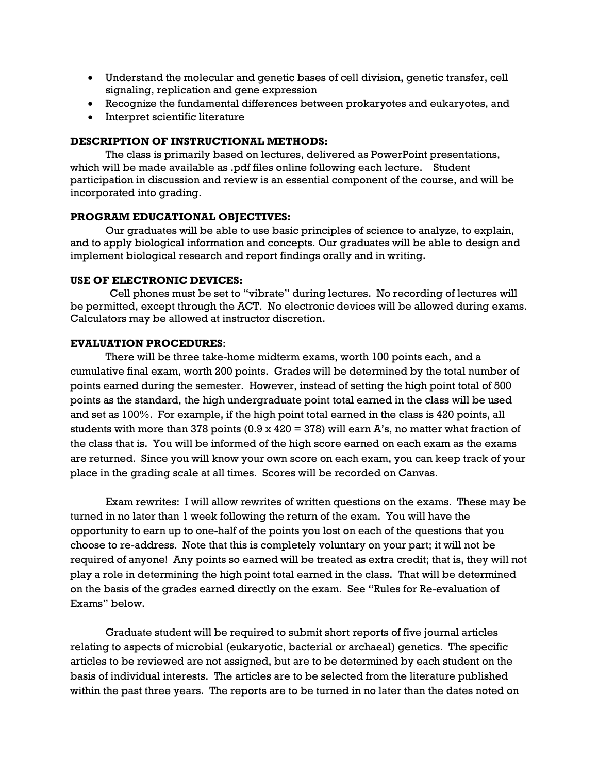- Understand the molecular and genetic bases of cell division, genetic transfer, cell signaling, replication and gene expression
- Recognize the fundamental differences between prokaryotes and eukaryotes, and
- Interpret scientific literature

## **DESCRIPTION OF INSTRUCTIONAL METHODS:**

The class is primarily based on lectures, delivered as PowerPoint presentations, which will be made available as .pdf files online following each lecture. Student participation in discussion and review is an essential component of the course, and will be incorporated into grading.

# **PROGRAM EDUCATIONAL OBJECTIVES:**

Our graduates will be able to use basic principles of science to analyze, to explain, and to apply biological information and concepts. Our graduates will be able to design and implement biological research and report findings orally and in writing.

### **USE OF ELECTRONIC DEVICES:**

Cell phones must be set to "vibrate" during lectures. No recording of lectures will be permitted, except through the ACT. No electronic devices will be allowed during exams. Calculators may be allowed at instructor discretion.

# **EVALUATION PROCEDURES**:

 There will be three take-home midterm exams, worth 100 points each, and a cumulative final exam, worth 200 points. Grades will be determined by the total number of points earned during the semester. However, instead of setting the high point total of 500 points as the standard, the high undergraduate point total earned in the class will be used and set as 100%. For example, if the high point total earned in the class is 420 points, all students with more than 378 points  $(0.9 \times 420 = 378)$  will earn A's, no matter what fraction of the class that is. You will be informed of the high score earned on each exam as the exams are returned. Since you will know your own score on each exam, you can keep track of your place in the grading scale at all times. Scores will be recorded on Canvas.

 Exam rewrites: I will allow rewrites of written questions on the exams. These may be turned in no later than 1 week following the return of the exam. You will have the opportunity to earn up to one-half of the points you lost on each of the questions that you choose to re-address. Note that this is completely voluntary on your part; it will not be required of anyone! Any points so earned will be treated as extra credit; that is, they will not play a role in determining the high point total earned in the class. That will be determined on the basis of the grades earned directly on the exam. See "Rules for Re-evaluation of Exams" below.

 Graduate student will be required to submit short reports of five journal articles relating to aspects of microbial (eukaryotic, bacterial or archaeal) genetics. The specific articles to be reviewed are not assigned, but are to be determined by each student on the basis of individual interests. The articles are to be selected from the literature published within the past three years. The reports are to be turned in no later than the dates noted on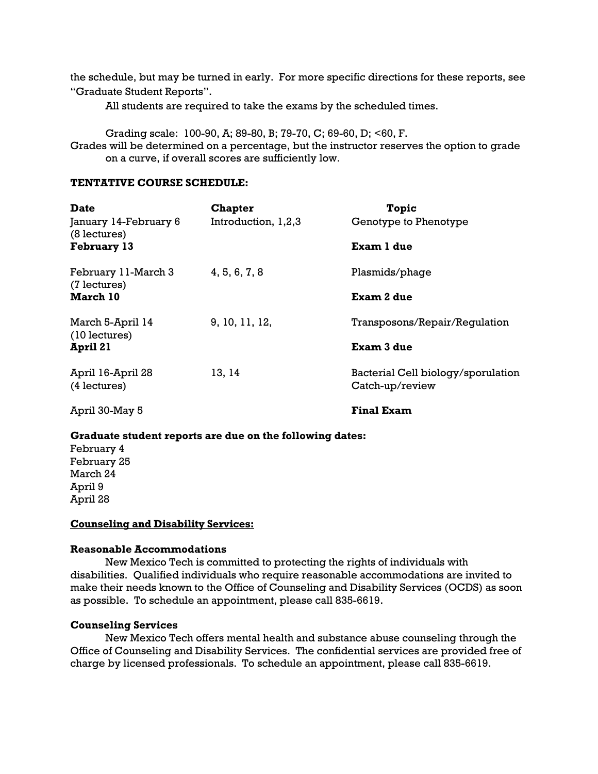the schedule, but may be turned in early. For more specific directions for these reports, see "Graduate Student Reports".

All students are required to take the exams by the scheduled times.

Grading scale: 100-90, A; 89-80, B; 79-70, C; 69-60, D; <60, F. Grades will be determined on a percentage, but the instructor reserves the option to grade on a curve, if overall scores are sufficiently low.

### **TENTATIVE COURSE SCHEDULE:**

| <b>Date</b><br>January 14-February 6<br>(8 lectures) | <b>Chapter</b><br>Introduction, 1,2,3 | <b>Topic</b><br>Genotype to Phenotype                 |
|------------------------------------------------------|---------------------------------------|-------------------------------------------------------|
| <b>February 13</b>                                   |                                       | Exam 1 due                                            |
| February 11-March 3                                  | 4, 5, 6, 7, 8                         | Plasmids/phage                                        |
| (7 lectures)<br><b>March 10</b>                      |                                       | <b>Exam 2 due</b>                                     |
| March 5-April 14<br>$(10$ lectures)                  | 9, 10, 11, 12,                        | Transposons/Repair/Requlation                         |
| April 21                                             |                                       | Exam 3 due                                            |
| April 16-April 28<br>(4 lectures)                    | 13, 14                                | Bacterial Cell biology/sporulation<br>Catch-up/review |
| April 30-May 5                                       |                                       | <b>Final Exam</b>                                     |

#### **Graduate student reports are due on the following dates:**

February 4 February 25 March 24 April 9 April 28

#### **Counseling and Disability Services:**

#### **Reasonable Accommodations**

New Mexico Tech is committed to protecting the rights of individuals with disabilities. Qualified individuals who require reasonable accommodations are invited to make their needs known to the Office of Counseling and Disability Services (OCDS) as soon as possible. To schedule an appointment, please call 835-6619.

#### **Counseling Services**

New Mexico Tech offers mental health and substance abuse counseling through the Office of Counseling and Disability Services. The confidential services are provided free of charge by licensed professionals. To schedule an appointment, please call 835-6619.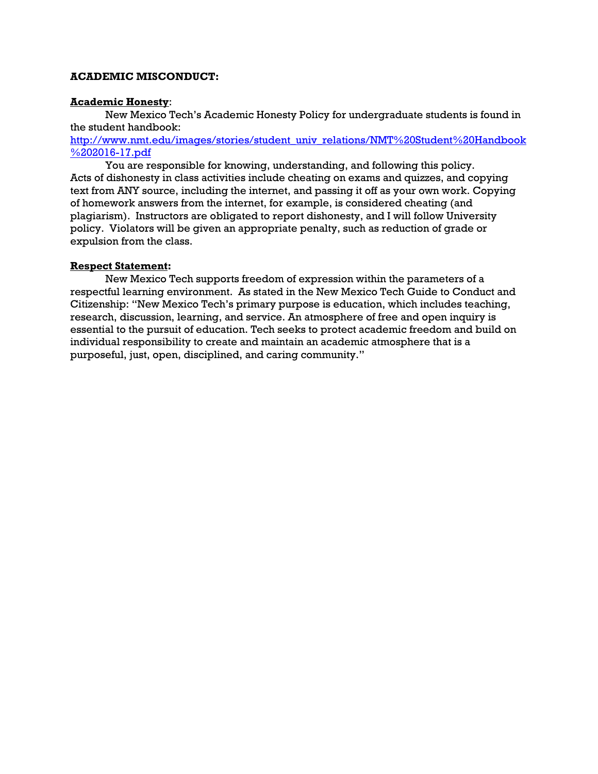# **ACADEMIC MISCONDUCT:**

# **Academic Honesty**:

New Mexico Tech's Academic Honesty Policy for undergraduate students is found in the student handbook:

http://www.nmt.edu/images/stories/student\_univ\_relations/NMT%20Student%20Handbook %202016-17.pdf

You are responsible for knowing, understanding, and following this policy. Acts of dishonesty in class activities include cheating on exams and quizzes, and copying text from ANY source, including the internet, and passing it off as your own work. Copying of homework answers from the internet, for example, is considered cheating (and plagiarism). Instructors are obligated to report dishonesty, and I will follow University policy. Violators will be given an appropriate penalty, such as reduction of grade or expulsion from the class.

# **Respect Statement:**

New Mexico Tech supports freedom of expression within the parameters of a respectful learning environment. As stated in the New Mexico Tech Guide to Conduct and Citizenship: "New Mexico Tech's primary purpose is education, which includes teaching, research, discussion, learning, and service. An atmosphere of free and open inquiry is essential to the pursuit of education. Tech seeks to protect academic freedom and build on individual responsibility to create and maintain an academic atmosphere that is a purposeful, just, open, disciplined, and caring community."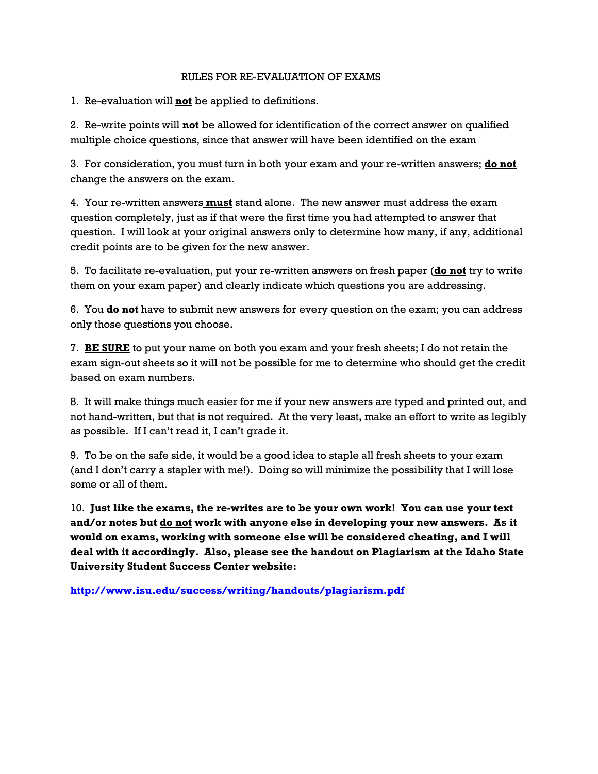# RULES FOR RE-EVALUATION OF EXAMS

1. Re-evaluation will **not** be applied to definitions.

2. Re-write points will **not** be allowed for identification of the correct answer on qualified multiple choice questions, since that answer will have been identified on the exam

3. For consideration, you must turn in both your exam and your re-written answers; **do not** change the answers on the exam.

4. Your re-written answers **must** stand alone. The new answer must address the exam question completely, just as if that were the first time you had attempted to answer that question. I will look at your original answers only to determine how many, if any, additional credit points are to be given for the new answer.

5. To facilitate re-evaluation, put your re-written answers on fresh paper (**do not** try to write them on your exam paper) and clearly indicate which questions you are addressing.

6. You **do not** have to submit new answers for every question on the exam; you can address only those questions you choose.

7. **BE SURE** to put your name on both you exam and your fresh sheets; I do not retain the exam sign-out sheets so it will not be possible for me to determine who should get the credit based on exam numbers.

8. It will make things much easier for me if your new answers are typed and printed out, and not hand-written, but that is not required. At the very least, make an effort to write as legibly as possible. If I can't read it, I can't grade it.

9. To be on the safe side, it would be a good idea to staple all fresh sheets to your exam (and I don't carry a stapler with me!). Doing so will minimize the possibility that I will lose some or all of them.

10. **Just like the exams, the re-writes are to be your own work! You can use your text and/or notes but do not work with anyone else in developing your new answers. As it would on exams, working with someone else will be considered cheating, and I will deal with it accordingly. Also, please see the handout on Plagiarism at the Idaho State University Student Success Center website:** 

**http://www.isu.edu/success/writing/handouts/plagiarism.pdf**